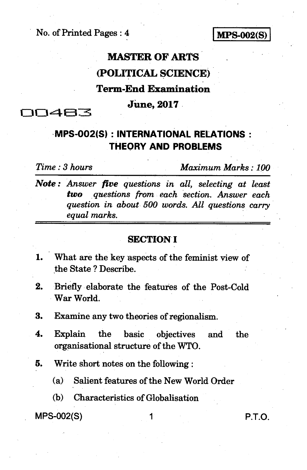No. of Printed Pages : 4 **1MPS-002(S)** 

## **MASTER OF ARTS (POLITICAL SCIENCE) Term-End Examination June, 2017**

00483

## **MPS-002(S) : INTERNATIONAL RELATIONS : THEORY AND PROBLEMS**

*Time : 3 hours Maximum Marks : 100* 

*Note : Answer five questions in all, selecting at least two questions from each section. Answer each question in about 500 words. All questions carry equal marks.* 

### **SECTION I**

- 1. What are the key aspects of the feminist view of the State ? Describe.
- 2. Briefly elaborate the features of the Post-Cold War World.
- 3. Examine any two theories of regionalism.
- 4. Explain the basic objectives and the organisational structure of the WTO.
- 5. Write short notes on the following :
	- (a) Salient features of the New World Order
	- (b) Characteristics of Globalisation

MPS-002(S) 1 P.T.O.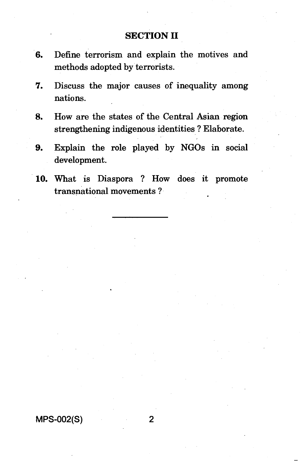## **SECTION II**

- 6. Define terrorism and explain the motives and methods adopted by terrorists.
- 7. Discuss the major causes of inequality among nations.
- 8. How are the states of the Central Asian region strengthening indigenous identities ? Elaborate.
- 9. Explain the role played by NGOs in social development.
- 10. What is Diaspora ? How does it promote transnational movements ?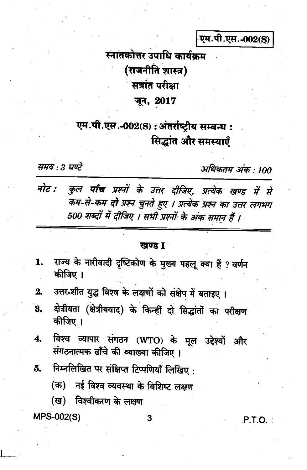एम.पी.एस.-002(S)

# स्नातकोत्तर उपाधि कार्यकम (राजनीति शास्त्र) सत्रांत परीक्षा जून, 2017

## एम.पी.एस.-002(S): अंतर्राष्ट्रीय सम्बन्ध: सिद्धांत और समस्याएँ

समय : 3 घण्टे

अधिकतम् अंकः 100

कुल पाँच प्रश्नों के उत्तर दीजिए, प्रत्येक खण्ड में से नोट : कम-से-कम दो प्रश्न चुनते हुए । प्रत्येक प्रश्न का उत्तर लगभग 500 शब्दों में दीजिए । सभी प्रश्नों के अंक समान हैं ।

#### खण्ड T

- राज्य के नारीवादी दृष्टिकोण के मुख्य पहलू क्या हैं ? वर्णन 1. कीजिए ।
- उत्तर-शीत युद्ध विश्व के लक्षणों को संक्षेप में बताइए।  $2.$
- क्षेत्रीयता (क्षेत्रीयवाद) के किन्हीं दो सिद्धांतों का परीक्षण 3. कीजिए ।
- विश्व व्यापार संगठन (WTO) के मूल उद्देश्यों और  $\overline{\mathbf{4}}$ . संगठनात्मक ढाँचे की व्याख्या कीजिए ।
- निम्नलिखित पर संक्षिप्त टिप्पणियाँ लिखिए: 5.
	- (क) नई विश्व व्यवस्था के विशिष्ट लक्षण
	- (ख) विश्वीकरण के लक्षण

**MPS-002(S)** 

#### 3

P.T.O.